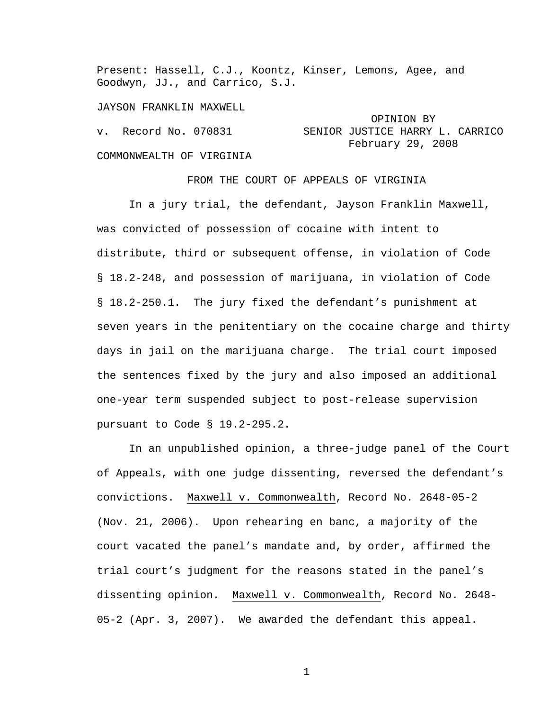Present: Hassell, C.J., Koontz, Kinser, Lemons, Agee, and Goodwyn, JJ., and Carrico, S.J.

JAYSON FRANKLIN MAXWELL

# OPINION BY v. Record No. 070831 SENIOR JUSTICE HARRY L. CARRICO February 29, 2008

# COMMONWEALTH OF VIRGINIA

FROM THE COURT OF APPEALS OF VIRGINIA

 In a jury trial, the defendant, Jayson Franklin Maxwell, was convicted of possession of cocaine with intent to distribute, third or subsequent offense, in violation of Code § 18.2-248, and possession of marijuana, in violation of Code § 18.2-250.1. The jury fixed the defendant's punishment at seven years in the penitentiary on the cocaine charge and thirty days in jail on the marijuana charge. The trial court imposed the sentences fixed by the jury and also imposed an additional one-year term suspended subject to post-release supervision pursuant to Code § 19.2-295.2.

 In an unpublished opinion, a three-judge panel of the Court of Appeals, with one judge dissenting, reversed the defendant's convictions. Maxwell v. Commonwealth, Record No. 2648-05-2 (Nov. 21, 2006). Upon rehearing en banc, a majority of the court vacated the panel's mandate and, by order, affirmed the trial court's judgment for the reasons stated in the panel's dissenting opinion. Maxwell v. Commonwealth, Record No. 2648- 05-2 (Apr. 3, 2007). We awarded the defendant this appeal.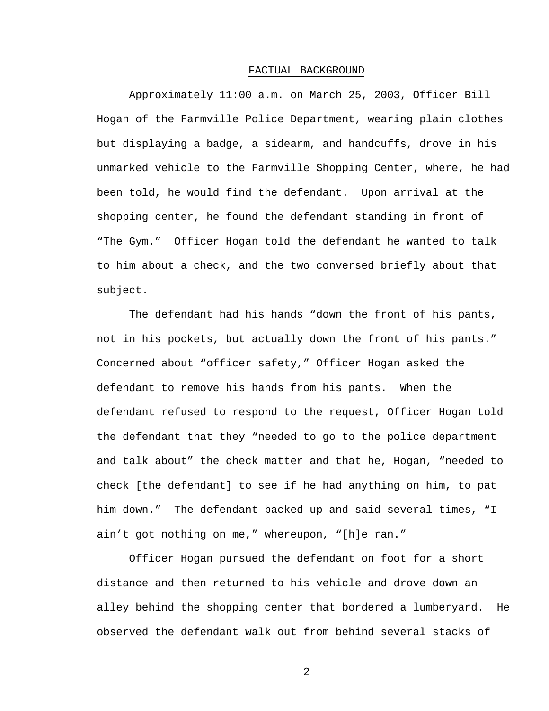#### FACTUAL BACKGROUND

 Approximately 11:00 a.m. on March 25, 2003, Officer Bill Hogan of the Farmville Police Department, wearing plain clothes but displaying a badge, a sidearm, and handcuffs, drove in his unmarked vehicle to the Farmville Shopping Center, where, he had been told, he would find the defendant. Upon arrival at the shopping center, he found the defendant standing in front of "The Gym." Officer Hogan told the defendant he wanted to talk to him about a check, and the two conversed briefly about that subject.

 The defendant had his hands "down the front of his pants, not in his pockets, but actually down the front of his pants." Concerned about "officer safety," Officer Hogan asked the defendant to remove his hands from his pants. When the defendant refused to respond to the request, Officer Hogan told the defendant that they "needed to go to the police department and talk about" the check matter and that he, Hogan, "needed to check [the defendant] to see if he had anything on him, to pat him down." The defendant backed up and said several times, "I ain't got nothing on me," whereupon, "[h]e ran."

 Officer Hogan pursued the defendant on foot for a short distance and then returned to his vehicle and drove down an alley behind the shopping center that bordered a lumberyard. He observed the defendant walk out from behind several stacks of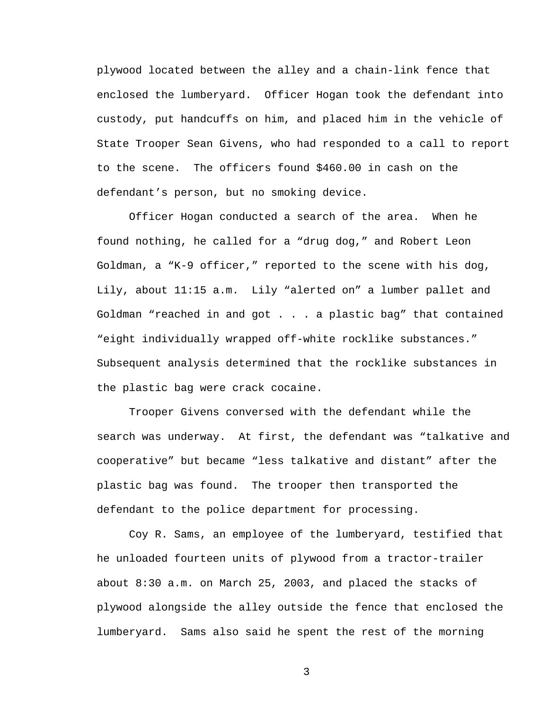plywood located between the alley and a chain-link fence that enclosed the lumberyard. Officer Hogan took the defendant into custody, put handcuffs on him, and placed him in the vehicle of State Trooper Sean Givens, who had responded to a call to report to the scene. The officers found \$460.00 in cash on the defendant's person, but no smoking device.

 Officer Hogan conducted a search of the area. When he found nothing, he called for a "drug dog," and Robert Leon Goldman, a "K-9 officer," reported to the scene with his dog, Lily, about 11:15 a.m. Lily "alerted on" a lumber pallet and Goldman "reached in and got . . . a plastic bag" that contained "eight individually wrapped off-white rocklike substances." Subsequent analysis determined that the rocklike substances in the plastic bag were crack cocaine.

 Trooper Givens conversed with the defendant while the search was underway. At first, the defendant was "talkative and cooperative" but became "less talkative and distant" after the plastic bag was found. The trooper then transported the defendant to the police department for processing.

 Coy R. Sams, an employee of the lumberyard, testified that he unloaded fourteen units of plywood from a tractor-trailer about 8:30 a.m. on March 25, 2003, and placed the stacks of plywood alongside the alley outside the fence that enclosed the lumberyard. Sams also said he spent the rest of the morning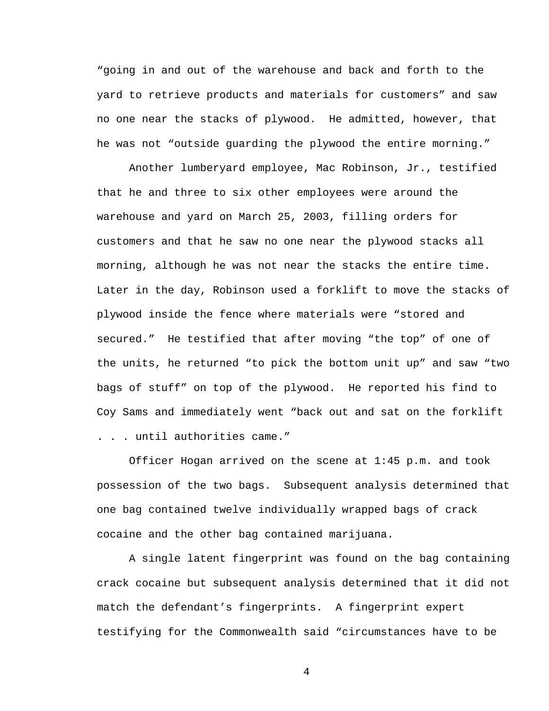"going in and out of the warehouse and back and forth to the yard to retrieve products and materials for customers" and saw no one near the stacks of plywood. He admitted, however, that he was not "outside guarding the plywood the entire morning."

 Another lumberyard employee, Mac Robinson, Jr., testified that he and three to six other employees were around the warehouse and yard on March 25, 2003, filling orders for customers and that he saw no one near the plywood stacks all morning, although he was not near the stacks the entire time. Later in the day, Robinson used a forklift to move the stacks of plywood inside the fence where materials were "stored and secured." He testified that after moving "the top" of one of the units, he returned "to pick the bottom unit up" and saw "two bags of stuff" on top of the plywood. He reported his find to Coy Sams and immediately went "back out and sat on the forklift . . . until authorities came."

 Officer Hogan arrived on the scene at 1:45 p.m. and took possession of the two bags. Subsequent analysis determined that one bag contained twelve individually wrapped bags of crack cocaine and the other bag contained marijuana.

 A single latent fingerprint was found on the bag containing crack cocaine but subsequent analysis determined that it did not match the defendant's fingerprints. A fingerprint expert testifying for the Commonwealth said "circumstances have to be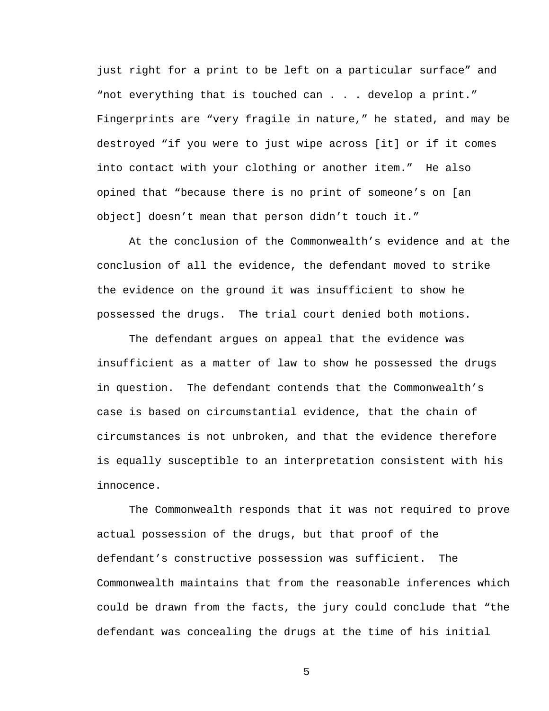just right for a print to be left on a particular surface" and "not everything that is touched can . . . develop a print." Fingerprints are "very fragile in nature," he stated, and may be destroyed "if you were to just wipe across [it] or if it comes into contact with your clothing or another item." He also opined that "because there is no print of someone's on [an object] doesn't mean that person didn't touch it."

 At the conclusion of the Commonwealth's evidence and at the conclusion of all the evidence, the defendant moved to strike the evidence on the ground it was insufficient to show he possessed the drugs. The trial court denied both motions.

 The defendant argues on appeal that the evidence was insufficient as a matter of law to show he possessed the drugs in question. The defendant contends that the Commonwealth's case is based on circumstantial evidence, that the chain of circumstances is not unbroken, and that the evidence therefore is equally susceptible to an interpretation consistent with his innocence.

 The Commonwealth responds that it was not required to prove actual possession of the drugs, but that proof of the defendant's constructive possession was sufficient. The Commonwealth maintains that from the reasonable inferences which could be drawn from the facts, the jury could conclude that "the defendant was concealing the drugs at the time of his initial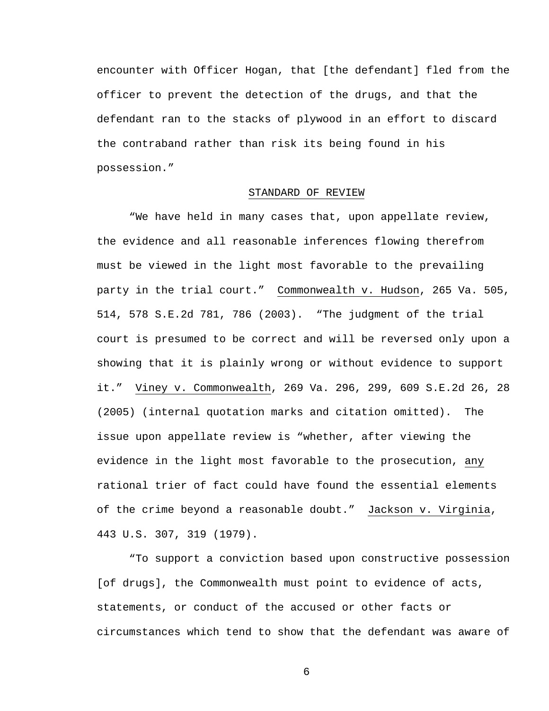encounter with Officer Hogan, that [the defendant] fled from the officer to prevent the detection of the drugs, and that the defendant ran to the stacks of plywood in an effort to discard the contraband rather than risk its being found in his possession."

# STANDARD OF REVIEW

 "We have held in many cases that, upon appellate review, the evidence and all reasonable inferences flowing therefrom must be viewed in the light most favorable to the prevailing party in the trial court." Commonwealth v. Hudson, 265 Va. 505, 514, 578 S.E.2d 781, 786 (2003). "The judgment of the trial court is presumed to be correct and will be reversed only upon a showing that it is plainly wrong or without evidence to support it." Viney v. Commonwealth, 269 Va. 296, 299, 609 S.E.2d 26, 28 (2005) (internal quotation marks and citation omitted). The issue upon appellate review is "whether, after viewing the evidence in the light most favorable to the prosecution, any rational trier of fact could have found the essential elements of the crime beyond a reasonable doubt." Jackson v. Virginia, 443 U.S. 307, 319 (1979).

 "To support a conviction based upon constructive possession [of drugs], the Commonwealth must point to evidence of acts, statements, or conduct of the accused or other facts or circumstances which tend to show that the defendant was aware of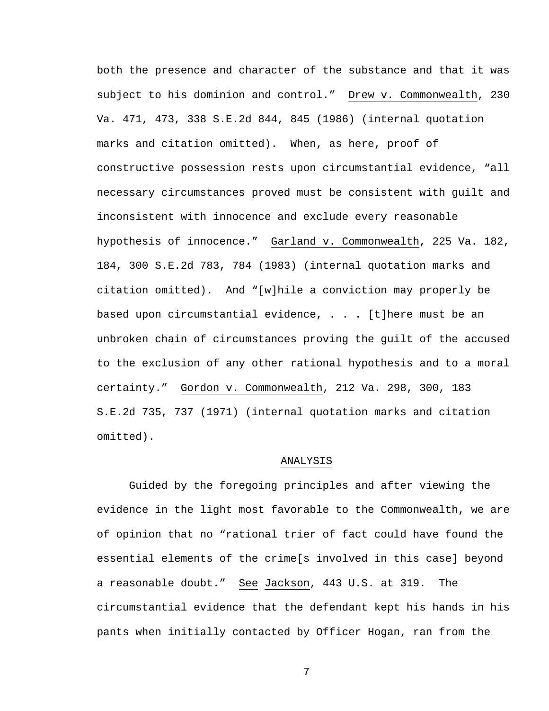both the presence and character of the substance and that it was subject to his dominion and control." Drew v. Commonwealth, 230 Va. 471, 473, 338 S.E.2d 844, 845 (1986) (internal quotation marks and citation omitted). When, as here, proof of constructive possession rests upon circumstantial evidence, "all necessary circumstances proved must be consistent with guilt and inconsistent with innocence and exclude every reasonable hypothesis of innocence." Garland v. Commonwealth, 225 Va. 182, 184, 300 S.E.2d 783, 784 (1983) (internal quotation marks and citation omitted). And "[w]hile a conviction may properly be based upon circumstantial evidence, . . . [t]here must be an unbroken chain of circumstances proving the guilt of the accused to the exclusion of any other rational hypothesis and to a moral certainty." Gordon v. Commonwealth, 212 Va. 298, 300, 183 S.E.2d 735, 737 (1971) (internal quotation marks and citation omitted).

## ANALYSIS

 Guided by the foregoing principles and after viewing the evidence in the light most favorable to the Commonwealth, we are of opinion that no "rational trier of fact could have found the essential elements of the crime[s involved in this case] beyond a reasonable doubt." See Jackson, 443 U.S. at 319. The circumstantial evidence that the defendant kept his hands in his pants when initially contacted by Officer Hogan, ran from the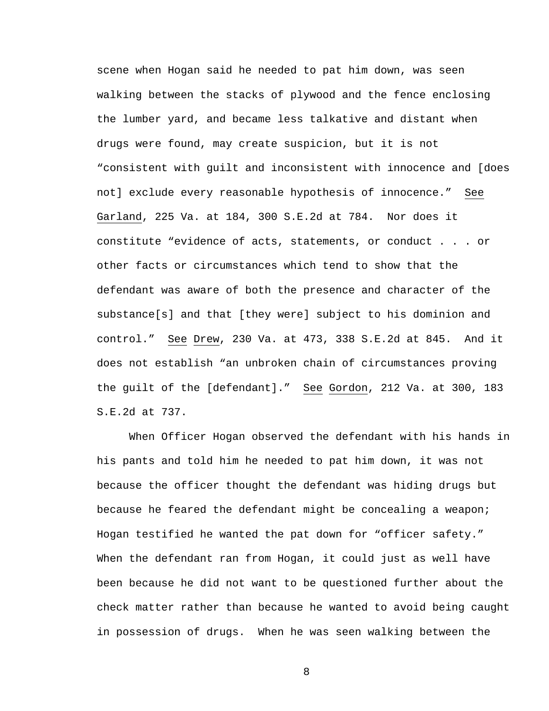scene when Hogan said he needed to pat him down, was seen walking between the stacks of plywood and the fence enclosing the lumber yard, and became less talkative and distant when drugs were found, may create suspicion, but it is not "consistent with guilt and inconsistent with innocence and [does not] exclude every reasonable hypothesis of innocence." See Garland, 225 Va. at 184, 300 S.E.2d at 784. Nor does it constitute "evidence of acts, statements, or conduct . . . or other facts or circumstances which tend to show that the defendant was aware of both the presence and character of the substance[s] and that [they were] subject to his dominion and control." See Drew, 230 Va. at 473, 338 S.E.2d at 845. And it does not establish "an unbroken chain of circumstances proving the guilt of the [defendant]." See Gordon, 212 Va. at 300, 183 S.E.2d at 737.

 When Officer Hogan observed the defendant with his hands in his pants and told him he needed to pat him down, it was not because the officer thought the defendant was hiding drugs but because he feared the defendant might be concealing a weapon; Hogan testified he wanted the pat down for "officer safety." When the defendant ran from Hogan, it could just as well have been because he did not want to be questioned further about the check matter rather than because he wanted to avoid being caught in possession of drugs. When he was seen walking between the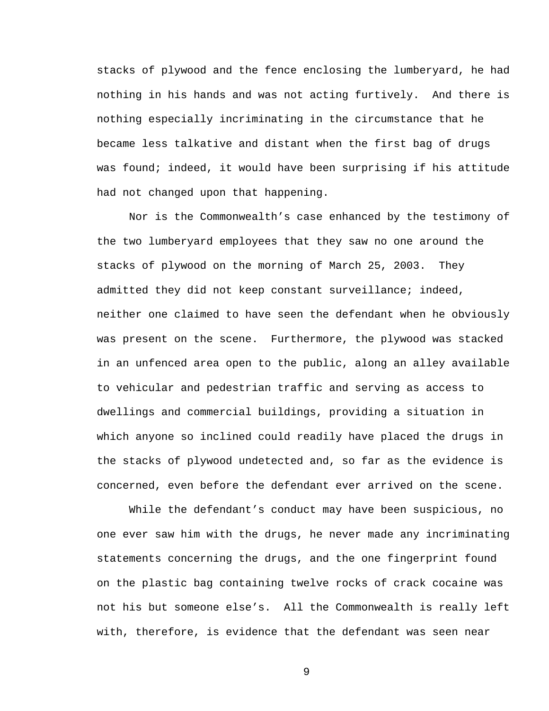stacks of plywood and the fence enclosing the lumberyard, he had nothing in his hands and was not acting furtively. And there is nothing especially incriminating in the circumstance that he became less talkative and distant when the first bag of drugs was found; indeed, it would have been surprising if his attitude had not changed upon that happening.

 Nor is the Commonwealth's case enhanced by the testimony of the two lumberyard employees that they saw no one around the stacks of plywood on the morning of March 25, 2003. They admitted they did not keep constant surveillance; indeed, neither one claimed to have seen the defendant when he obviously was present on the scene. Furthermore, the plywood was stacked in an unfenced area open to the public, along an alley available to vehicular and pedestrian traffic and serving as access to dwellings and commercial buildings, providing a situation in which anyone so inclined could readily have placed the drugs in the stacks of plywood undetected and, so far as the evidence is concerned, even before the defendant ever arrived on the scene.

 While the defendant's conduct may have been suspicious, no one ever saw him with the drugs, he never made any incriminating statements concerning the drugs, and the one fingerprint found on the plastic bag containing twelve rocks of crack cocaine was not his but someone else's. All the Commonwealth is really left with, therefore, is evidence that the defendant was seen near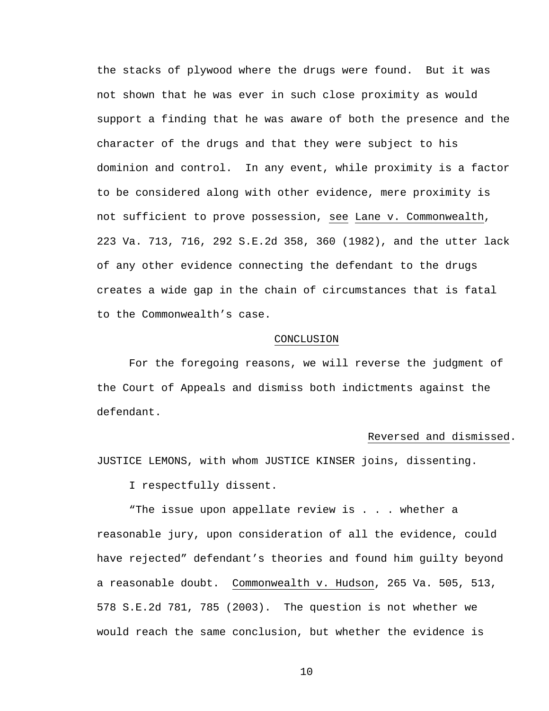the stacks of plywood where the drugs were found. But it was not shown that he was ever in such close proximity as would support a finding that he was aware of both the presence and the character of the drugs and that they were subject to his dominion and control. In any event, while proximity is a factor to be considered along with other evidence, mere proximity is not sufficient to prove possession, see Lane v. Commonwealth, 223 Va. 713, 716, 292 S.E.2d 358, 360 (1982), and the utter lack of any other evidence connecting the defendant to the drugs creates a wide gap in the chain of circumstances that is fatal to the Commonwealth's case.

#### CONCLUSION

 For the foregoing reasons, we will reverse the judgment of the Court of Appeals and dismiss both indictments against the defendant.

### Reversed and dismissed.

JUSTICE LEMONS, with whom JUSTICE KINSER joins, dissenting.

I respectfully dissent.

"The issue upon appellate review is . . . whether a reasonable jury, upon consideration of all the evidence, could have rejected" defendant's theories and found him guilty beyond a reasonable doubt. Commonwealth v. Hudson, 265 Va. 505, 513, 578 S.E.2d 781, 785 (2003). The question is not whether we would reach the same conclusion, but whether the evidence is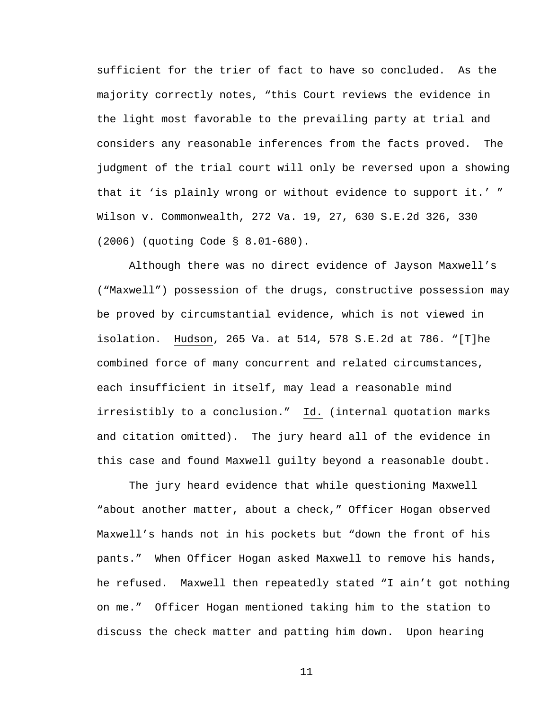sufficient for the trier of fact to have so concluded. As the majority correctly notes, "this Court reviews the evidence in the light most favorable to the prevailing party at trial and considers any reasonable inferences from the facts proved. The judgment of the trial court will only be reversed upon a showing that it 'is plainly wrong or without evidence to support it.' " Wilson v. Commonwealth, 272 Va. 19, 27, 630 S.E.2d 326, 330 (2006) (quoting Code § 8.01-680).

Although there was no direct evidence of Jayson Maxwell's ("Maxwell") possession of the drugs, constructive possession may be proved by circumstantial evidence, which is not viewed in isolation. Hudson, 265 Va. at 514, 578 S.E.2d at 786. "[T]he combined force of many concurrent and related circumstances, each insufficient in itself, may lead a reasonable mind irresistibly to a conclusion." Id. (internal quotation marks and citation omitted). The jury heard all of the evidence in this case and found Maxwell guilty beyond a reasonable doubt.

 The jury heard evidence that while questioning Maxwell "about another matter, about a check," Officer Hogan observed Maxwell's hands not in his pockets but "down the front of his pants." When Officer Hogan asked Maxwell to remove his hands, he refused. Maxwell then repeatedly stated "I ain't got nothing on me." Officer Hogan mentioned taking him to the station to discuss the check matter and patting him down. Upon hearing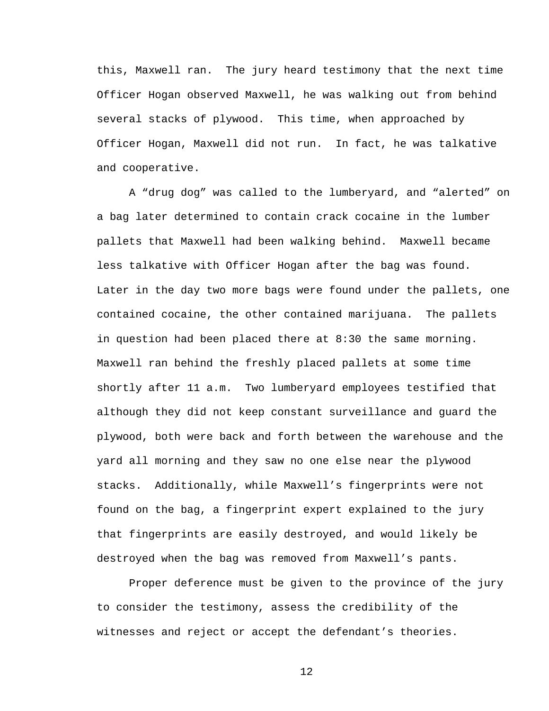this, Maxwell ran. The jury heard testimony that the next time Officer Hogan observed Maxwell, he was walking out from behind several stacks of plywood. This time, when approached by Officer Hogan, Maxwell did not run. In fact, he was talkative and cooperative.

A "drug dog" was called to the lumberyard, and "alerted" on a bag later determined to contain crack cocaine in the lumber pallets that Maxwell had been walking behind. Maxwell became less talkative with Officer Hogan after the bag was found. Later in the day two more bags were found under the pallets, one contained cocaine, the other contained marijuana. The pallets in question had been placed there at 8:30 the same morning. Maxwell ran behind the freshly placed pallets at some time shortly after 11 a.m. Two lumberyard employees testified that although they did not keep constant surveillance and guard the plywood, both were back and forth between the warehouse and the yard all morning and they saw no one else near the plywood stacks. Additionally, while Maxwell's fingerprints were not found on the bag, a fingerprint expert explained to the jury that fingerprints are easily destroyed, and would likely be destroyed when the bag was removed from Maxwell's pants.

Proper deference must be given to the province of the jury to consider the testimony, assess the credibility of the witnesses and reject or accept the defendant's theories.